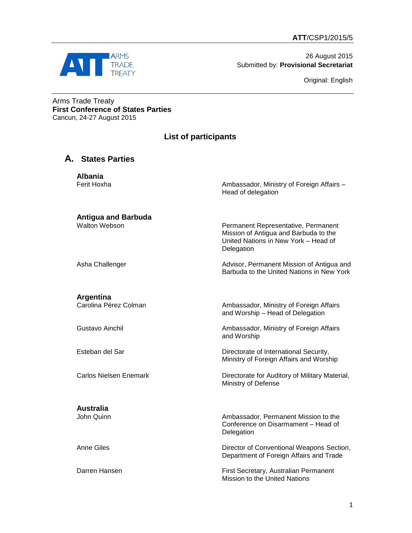

26 August 2015 Submitted by: **Provisional Secretariat**

Original: English

Arms Trade Treaty **First Conference of States Parties** Cancun, 24-27 August 2015

## **List of participants**

## **A. States Parties**

**Albania** Ferit Hoxha **Ambassador, Ministry of Foreign Affairs** –

**Antigua and Barbuda**

Head of delegation

Permanent Representative, Permanent Mission of Antigua and Barbuda to the United Nations in New York – Head of **Delegation** 

Asha Challenger **Advisor, Permanent Mission of Antigua and** Barbuda to the United Nations in New York

**Argentina**

# **Australia**

Ambassador, Ministry of Foreign Affairs and Worship – Head of Delegation

Gustavo Ainchil Ambassador, Ministry of Foreign Affairs and Worship

Esteban del Sar **Directorate of International Security**, Ministry of Foreign Affairs and Worship

Carlos Nielsen Enemark **Directorate for Auditory of Military Material**, Ministry of Defense

> Ambassador, Permanent Mission to the Conference on Disarmament – Head of **Delegation**

Anne Giles **Director of Conventional Weapons Section**, Department of Foreign Affairs and Trade

Darren Hansen First Secretary, Australian Permanent Mission to the United Nations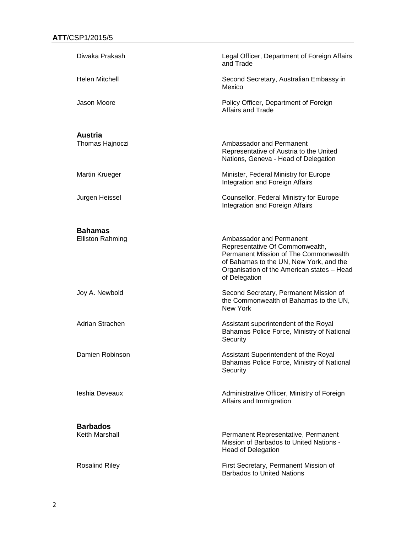| Diwaka Prakash                            | Legal Officer, Department of Foreign Affairs<br>and Trade                                                                                                                                                      |
|-------------------------------------------|----------------------------------------------------------------------------------------------------------------------------------------------------------------------------------------------------------------|
| <b>Helen Mitchell</b>                     | Second Secretary, Australian Embassy in<br>Mexico                                                                                                                                                              |
| Jason Moore                               | Policy Officer, Department of Foreign<br><b>Affairs and Trade</b>                                                                                                                                              |
| <b>Austria</b>                            |                                                                                                                                                                                                                |
| Thomas Hajnoczi                           | Ambassador and Permanent<br>Representative of Austria to the United<br>Nations, Geneva - Head of Delegation                                                                                                    |
| <b>Martin Krueger</b>                     | Minister, Federal Ministry for Europe<br>Integration and Foreign Affairs                                                                                                                                       |
| Jurgen Heissel                            | Counsellor, Federal Ministry for Europe<br>Integration and Foreign Affairs                                                                                                                                     |
|                                           |                                                                                                                                                                                                                |
| <b>Bahamas</b><br><b>Elliston Rahming</b> | Ambassador and Permanent<br>Representative Of Commonwealth,<br>Permanent Mission of The Commonwealth<br>of Bahamas to the UN, New York, and the<br>Organisation of the American states - Head<br>of Delegation |
| Joy A. Newbold                            | Second Secretary, Permanent Mission of<br>the Commonwealth of Bahamas to the UN,<br><b>New York</b>                                                                                                            |
| Adrian Strachen                           | Assistant superintendent of the Royal<br>Bahamas Police Force, Ministry of National<br>Security                                                                                                                |
| Damien Robinson                           | Assistant Superintendent of the Royal<br>Bahamas Police Force, Ministry of National<br>Security                                                                                                                |
| leshia Deveaux                            | Administrative Officer, Ministry of Foreign<br>Affairs and Immigration                                                                                                                                         |
| <b>Barbados</b><br>Keith Marshall         | Permanent Representative, Permanent                                                                                                                                                                            |
|                                           | Mission of Barbados to United Nations -<br><b>Head of Delegation</b>                                                                                                                                           |
| <b>Rosalind Riley</b>                     | First Secretary, Permanent Mission of<br><b>Barbados to United Nations</b>                                                                                                                                     |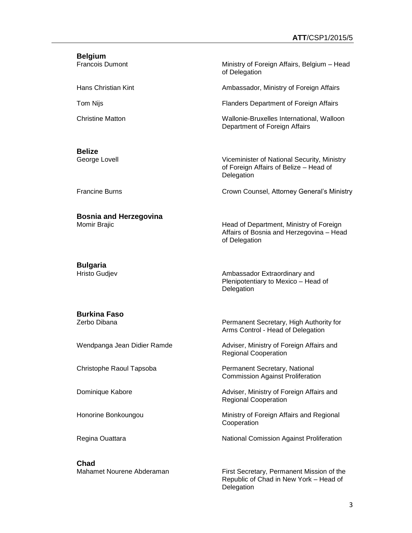# **Belgium** Francois Dumont **Ministry of Foreign Affairs, Belgium – Head** of Delegation Hans Christian Kint **Ambassador, Ministry of Foreign Affairs** Tom Nijs Flanders Department of Foreign Affairs Christine Matton Wallonie-Bruxelles International, Walloon Department of Foreign Affairs **Belize** George Lovell **Viceminister of National Security, Ministry** of Foreign Affairs of Belize – Head of **Delegation** Francine Burns Crown Counsel, Attorney General's Ministry

**Bosnia and Herzegovina**

Momir Brajic **Head of Department, Ministry of Foreign** Affairs of Bosnia and Herzegovina – Head of Delegation

**Bulgaria**

Hristo Gudjev **Ambassador Extraordinary and** Ambassador Extraordinary and Plenipotentiary to Mexico – Head of Delegation

# **Burkina Faso**

**Chad**

Permanent Secretary, High Authority for Arms Control - Head of Delegation

Wendpanga Jean Didier Ramde Adviser, Ministry of Foreign Affairs and Regional Cooperation

Christophe Raoul Tapsoba Permanent Secretary, National Commission Against Proliferation

Dominique Kabore **Adviser, Ministry of Foreign Affairs and** Regional Cooperation

Honorine Bonkoungou Ministry of Foreign Affairs and Regional Cooperation

Regina Ouattara **National Comission Against Proliferation** 

Mahamet Nourene Abderaman First Secretary, Permanent Mission of the Republic of Chad in New York – Head of Delegation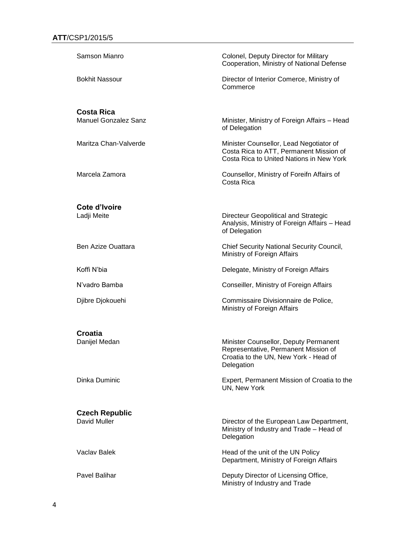| Samson Mianro               | Colonel, Deputy Director for Military<br>Cooperation, Ministry of National Defense                                                   |
|-----------------------------|--------------------------------------------------------------------------------------------------------------------------------------|
| <b>Bokhit Nassour</b>       | Director of Interior Comerce, Ministry of<br>Commerce                                                                                |
| <b>Costa Rica</b>           |                                                                                                                                      |
| <b>Manuel Gonzalez Sanz</b> | Minister, Ministry of Foreign Affairs - Head<br>of Delegation                                                                        |
| Maritza Chan-Valverde       | Minister Counsellor, Lead Negotiator of<br>Costa Rica to ATT, Permanent Mission of<br>Costa Rica to United Nations in New York       |
| Marcela Zamora              | Counsellor, Ministry of Foreifn Affairs of<br>Costa Rica                                                                             |
| Cote d'Ivoire               |                                                                                                                                      |
| Ladji Meite                 | Directeur Geopolitical and Strategic<br>Analysis, Ministry of Foreign Affairs - Head<br>of Delegation                                |
| Ben Azize Ouattara          | <b>Chief Security National Security Council,</b><br>Ministry of Foreign Affairs                                                      |
| Koffi N'bia                 | Delegate, Ministry of Foreign Affairs                                                                                                |
| N'vadro Bamba               | Conseiller, Ministry of Foreign Affairs                                                                                              |
| Djibre Djokouehi            | Commissaire Divisionnaire de Police,<br>Ministry of Foreign Affairs                                                                  |
| Croatia                     |                                                                                                                                      |
| Danijel Medan               | Minister Counsellor, Deputy Permanent<br>Representative, Permanent Mission of<br>Croatia to the UN, New York - Head of<br>Delegation |
| Dinka Duminic               | Expert, Permanent Mission of Croatia to the<br>UN, New York                                                                          |
| <b>Czech Republic</b>       |                                                                                                                                      |
| David Muller                | Director of the European Law Department,<br>Ministry of Industry and Trade - Head of<br>Delegation                                   |
| <b>Vaclav Balek</b>         | Head of the unit of the UN Policy<br>Department, Ministry of Foreign Affairs                                                         |
| Pavel Balihar               | Deputy Director of Licensing Office,                                                                                                 |

Ministry of Industry and Trade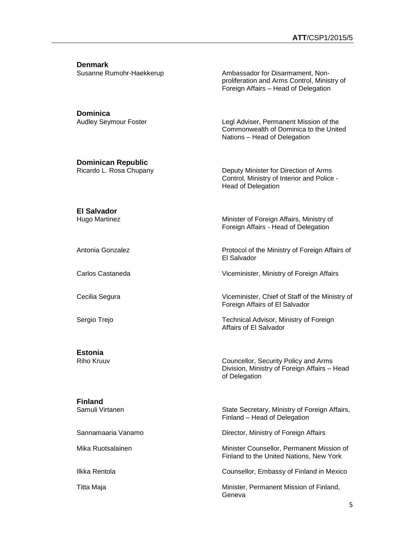**Denmark**

Susanne Rumohr-Haekkerup **Ambassador for Disarmament, Non**proliferation and Arms Control, Ministry of Foreign Affairs – Head of Delegation

**Dominica**

Audley Seymour Foster Legl Adviser, Permanent Mission of the Commonwealth of Dominica to the United Nations – Head of Delegation

### **Dominican Republic**

Ricardo L. Rosa Chupany **Deputy Minister for Direction of Arms** Control, Ministry of Interior and Police - Head of Delegation

Foreign Affairs - Head of Delegation

Foreign Affairs of El Salvador

Affairs of El Salvador

El Salvador

# **El Salvador**

Hugo Martinez **Minister of Foreign Affairs, Ministry of** Ministry of

Antonia Gonzalez Protocol of the Ministry of Foreign Affairs of

Carlos Castaneda Viceminister, Ministry of Foreign Affairs

Cecilia Segura Viceminister, Chief of Staff of the Ministry of

Sergio Trejo Technical Advisor, Ministry of Foreign

**Estonia**

Riho Kruuv Councellor, Security Policy and Arms Division, Ministry of Foreign Affairs – Head of Delegation

**Finland**

State Secretary, Ministry of Foreign Affairs, Finland – Head of Delegation

Sannamaaria Vanamo **Director, Ministry of Foreign Affairs** 

Mika Ruotsalainen Minister Counsellor, Permanent Mission of Finland to the United Nations, New York

Ilkka Rentola Counsellor, Embassy of Finland in Mexico

Titta Maja **Minister, Permanent Mission of Finland**, Geneva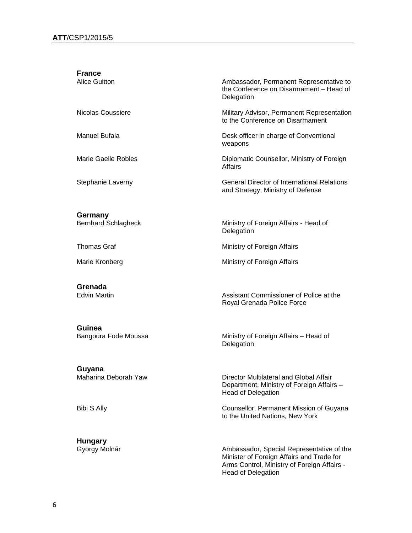| <b>France</b><br><b>Alice Guitton</b> | Ambassador, Permanent Representative to<br>the Conference on Disarmament - Head of<br>Delegation |
|---------------------------------------|--------------------------------------------------------------------------------------------------|
| Nicolas Coussiere                     | Military Advisor, Permanent Representation<br>to the Conference on Disarmament                   |
| Manuel Bufala                         | Desk officer in charge of Conventional<br>weapons                                                |
| Marie Gaelle Robles                   | Diplomatic Counsellor, Ministry of Foreign<br>Affairs                                            |
| Stephanie Laverny                     | <b>General Director of International Relations</b><br>and Strategy, Ministry of Defense          |
| Germany                               |                                                                                                  |
| <b>Bernhard Schlagheck</b>            | Ministry of Foreign Affairs - Head of<br>Delegation                                              |
| <b>Thomas Graf</b>                    | Ministry of Foreign Affairs                                                                      |
| Marie Kronberg                        | Ministry of Foreign Affairs                                                                      |
| Grenada<br><b>Edvin Martin</b>        | Assistant Commissioner of Police at the<br>Royal Grenada Police Force                            |

**Guinea**

**Guyana**<br>Maharina Deborah Yaw

**Hungary**

Bangoura Fode Moussa **Ministry of Foreign Affairs** – Head of **Delegation** 

> Director Multilateral and Global Affair Department, Ministry of Foreign Affairs – Head of Delegation

Bibi S Ally Counsellor, Permanent Mission of Guyana to the United Nations, New York

György Molnár Ambassador, Special Representative of the Minister of Foreign Affairs and Trade for Arms Control, Ministry of Foreign Affairs - Head of Delegation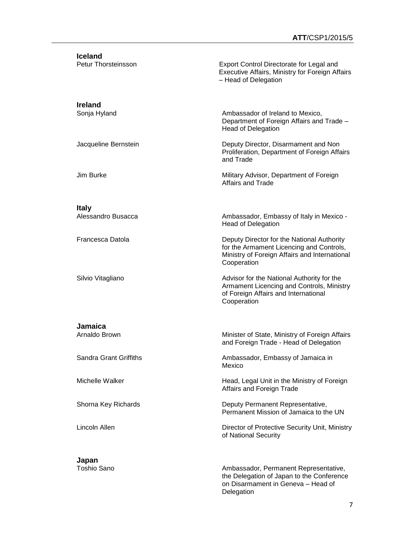| <b>Iceland</b><br>Petur Thorsteinsson | Export Control Directorate for Legal and<br>Executive Affairs, Ministry for Foreign Affairs<br>- Head of Delegation                                    |
|---------------------------------------|--------------------------------------------------------------------------------------------------------------------------------------------------------|
| <b>Ireland</b><br>Sonja Hyland        | Ambassador of Ireland to Mexico,<br>Department of Foreign Affairs and Trade -<br><b>Head of Delegation</b>                                             |
| Jacqueline Bernstein                  | Deputy Director, Disarmament and Non<br>Proliferation, Department of Foreign Affairs<br>and Trade                                                      |
| Jim Burke                             | Military Advisor, Department of Foreign<br>Affairs and Trade                                                                                           |
|                                       |                                                                                                                                                        |
| <b>Italy</b><br>Alessandro Busacca    | Ambassador, Embassy of Italy in Mexico -<br><b>Head of Delegation</b>                                                                                  |
| Francesca Datola                      | Deputy Director for the National Authority<br>for the Armament Licencing and Controls,<br>Ministry of Foreign Affairs and International<br>Cooperation |
| Silvio Vitagliano                     | Advisor for the National Authority for the<br>Armament Licencing and Controls, Ministry<br>of Foreign Affairs and International<br>Cooperation         |
|                                       |                                                                                                                                                        |
| Jamaica<br>Arnaldo Brown              | Minister of State, Ministry of Foreign Affairs<br>and Foreign Trade - Head of Delegation                                                               |
| Sandra Grant Griffiths                | Ambassador, Embassy of Jamaica in<br>Mexico                                                                                                            |
| Michelle Walker                       | Head, Legal Unit in the Ministry of Foreign<br>Affairs and Foreign Trade                                                                               |
| Shorna Key Richards                   | Deputy Permanent Representative,<br>Permanent Mission of Jamaica to the UN                                                                             |
| Lincoln Allen                         | Director of Protective Security Unit, Ministry<br>of National Security                                                                                 |
|                                       |                                                                                                                                                        |
| Japan<br>Toshio Sano                  | Ambassador, Permanent Representative,<br>the Delegation of Japan to the Conference<br>on Disarmament in Geneva - Head of                               |

Delegation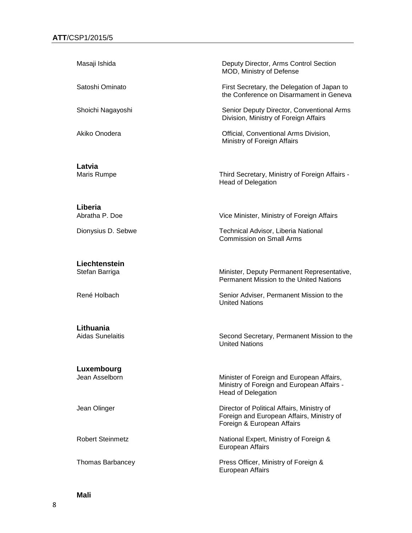| Masaji Ishida                        | Deputy Director, Arms Control Section<br>MOD, Ministry of Defense                                                     |
|--------------------------------------|-----------------------------------------------------------------------------------------------------------------------|
| Satoshi Ominato                      | First Secretary, the Delegation of Japan to<br>the Conference on Disarmament in Geneva                                |
| Shoichi Nagayoshi                    | Senior Deputy Director, Conventional Arms<br>Division, Ministry of Foreign Affairs                                    |
| Akiko Onodera                        | Official, Conventional Arms Division,<br>Ministry of Foreign Affairs                                                  |
| Latvia<br>Maris Rumpe                | Third Secretary, Ministry of Foreign Affairs -<br><b>Head of Delegation</b>                                           |
| Liberia<br>Abratha P. Doe            | Vice Minister, Ministry of Foreign Affairs                                                                            |
| Dionysius D. Sebwe                   | Technical Advisor, Liberia National<br><b>Commission on Small Arms</b>                                                |
| Liechtenstein<br>Stefan Barriga      | Minister, Deputy Permanent Representative,<br>Permanent Mission to the United Nations                                 |
| René Holbach                         | Senior Adviser, Permanent Mission to the<br><b>United Nations</b>                                                     |
| Lithuania<br><b>Aidas Sunelaitis</b> | Second Secretary, Permanent Mission to the<br><b>United Nations</b>                                                   |
| Luxembourg<br>Jean Asselborn         | Minister of Foreign and European Affairs,<br>Ministry of Foreign and European Affairs -<br><b>Head of Delegation</b>  |
| Jean Olinger                         | Director of Political Affairs, Ministry of<br>Foreign and European Affairs, Ministry of<br>Foreign & European Affairs |
| <b>Robert Steinmetz</b>              | National Expert, Ministry of Foreign &<br>European Affairs                                                            |
| <b>Thomas Barbancey</b>              | Press Officer, Ministry of Foreign &                                                                                  |

European Affairs

**Mali**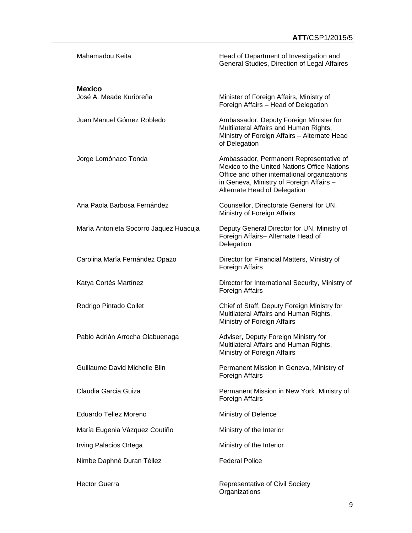| Mahamadou Keita                        | Head of Department of Investigation and<br>General Studies, Direction of Legal Affaires                                                                                                                            |
|----------------------------------------|--------------------------------------------------------------------------------------------------------------------------------------------------------------------------------------------------------------------|
| <b>Mexico</b>                          |                                                                                                                                                                                                                    |
| José A. Meade Kuribreña                | Minister of Foreign Affairs, Ministry of<br>Foreign Affairs - Head of Delegation                                                                                                                                   |
| Juan Manuel Gómez Robledo              | Ambassador, Deputy Foreign Minister for<br>Multilateral Affairs and Human Rights,<br>Ministry of Foreign Affairs - Alternate Head<br>of Delegation                                                                 |
| Jorge Lomónaco Tonda                   | Ambassador, Permanent Representative of<br>Mexico to the United Nations Office Nations<br>Office and other international organizations<br>in Geneva, Ministry of Foreign Affairs -<br>Alternate Head of Delegation |
| Ana Paola Barbosa Fernández            | Counsellor, Directorate General for UN,<br>Ministry of Foreign Affairs                                                                                                                                             |
| María Antonieta Socorro Jaquez Huacuja | Deputy General Director for UN, Ministry of<br>Foreign Affairs- Alternate Head of<br>Delegation                                                                                                                    |
| Carolina María Fernández Opazo         | Director for Financial Matters, Ministry of<br>Foreign Affairs                                                                                                                                                     |
| Katya Cortés Martínez                  | Director for International Security, Ministry of<br>Foreign Affairs                                                                                                                                                |
| Rodrigo Pintado Collet                 | Chief of Staff, Deputy Foreign Ministry for<br>Multilateral Affairs and Human Rights,<br>Ministry of Foreign Affairs                                                                                               |
| Pablo Adrián Arrocha Olabuenaga        | Adviser, Deputy Foreign Ministry for<br>Multilateral Affairs and Human Rights,<br>Ministry of Foreign Affairs                                                                                                      |
| Guillaume David Michelle Blin          | Permanent Mission in Geneva, Ministry of<br>Foreign Affairs                                                                                                                                                        |
| Claudia Garcia Guiza                   | Permanent Mission in New York, Ministry of<br>Foreign Affairs                                                                                                                                                      |
| Eduardo Tellez Moreno                  | Ministry of Defence                                                                                                                                                                                                |
| María Eugenia Vázquez Coutiño          | Ministry of the Interior                                                                                                                                                                                           |
| Irving Palacios Ortega                 | Ministry of the Interior                                                                                                                                                                                           |
| Nimbe Daphné Duran Téllez              | <b>Federal Police</b>                                                                                                                                                                                              |
| <b>Hector Guerra</b>                   | <b>Representative of Civil Society</b>                                                                                                                                                                             |

**Organizations**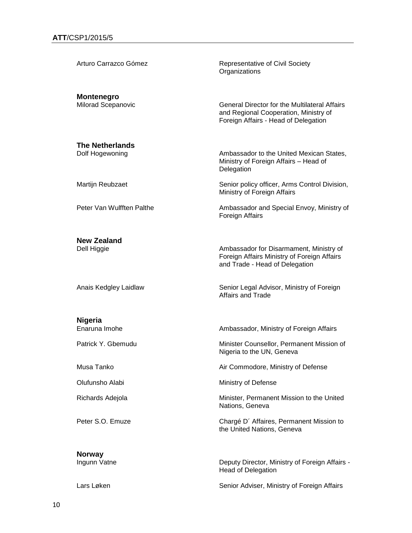| Arturo Carrazco Gómez                          | Representative of Civil Society<br>Organizations                                                                                      |
|------------------------------------------------|---------------------------------------------------------------------------------------------------------------------------------------|
| <b>Montenegro</b><br><b>Milorad Scepanovic</b> | <b>General Director for the Multilateral Affairs</b><br>and Regional Cooperation, Ministry of<br>Foreign Affairs - Head of Delegation |
| <b>The Netherlands</b><br>Dolf Hogewoning      | Ambassador to the United Mexican States,<br>Ministry of Foreign Affairs - Head of<br>Delegation                                       |
| Martijn Reubzaet                               | Senior policy officer, Arms Control Division,<br>Ministry of Foreign Affairs                                                          |
| Peter Van Wulfften Palthe                      | Ambassador and Special Envoy, Ministry of<br>Foreign Affairs                                                                          |
| <b>New Zealand</b><br>Dell Higgie              | Ambassador for Disarmament, Ministry of<br>Foreign Affairs Ministry of Foreign Affairs<br>and Trade - Head of Delegation              |
| Anais Kedgley Laidlaw                          | Senior Legal Advisor, Ministry of Foreign<br><b>Affairs and Trade</b>                                                                 |
| Nigeria<br>Enaruna Imohe                       | Ambassador, Ministry of Foreign Affairs                                                                                               |
| Patrick Y. Gbemudu                             | Minister Counsellor, Permanent Mission of<br>Nigeria to the UN, Geneva                                                                |
| Musa Tanko                                     | Air Commodore, Ministry of Defense                                                                                                    |
| Olufunsho Alabi                                | Ministry of Defense                                                                                                                   |
| Richards Adejola                               | Minister, Permanent Mission to the United<br>Nations, Geneva                                                                          |
| Peter S.O. Emuze                               | Chargé D' Affaires, Permanent Mission to<br>the United Nations, Geneva                                                                |
| <b>Norway</b><br>Ingunn Vatne                  | Deputy Director, Ministry of Foreign Affairs -<br><b>Head of Delegation</b>                                                           |
| Lars Løken                                     | Senior Adviser, Ministry of Foreign Affairs                                                                                           |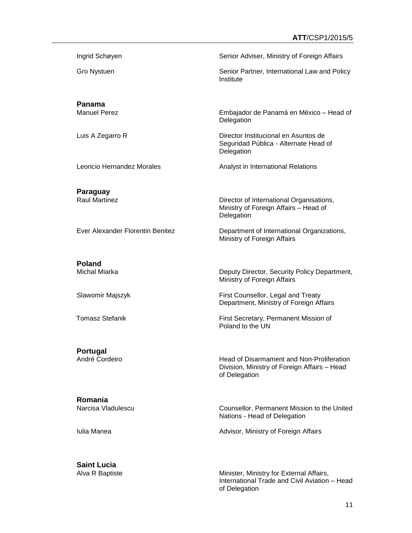Ingrid Schøyen Senior Adviser, Ministry of Foreign Affairs

Gro Nystuen Senior Partner, International Law and Policy

**Panama**

Manuel Perez Embajador de Panamá en México – Head of

Luis A Zegarro R<br>
Director Institucional en Asuntos de

Leoncio Hernandez Morales **Analystin International Relations** 

**Paraguay**

Ever Alexander Florentin Benitez **Department of International Organizations**,

**Poland**

Michal Miarka **Deputy Director, Security Policy Department**, Ministry of Foreign Affairs

Slawomir Majszyk **First Counsellor, Legal and Treaty** Department, Ministry of Foreign Affairs

Seguridad Pública - Alternate Head of

Director of International Organisations, Ministry of Foreign Affairs – Head of

**Institute** 

Delegation

Delegation

Delegation

Ministry of Foreign Affairs

Tomasz Stefanik **First Secretary, Permanent Mission of** Poland to the UN

**Portugal**

André Cordeiro **Head of Disarmament and Non-Proliferation** Division, Ministry of Foreign Affairs – Head of Delegation

**Romania**

Counsellor, Permanent Mission to the United Nations - Head of Delegation

Iulia Manea **Advisor**, Ministry of Foreign Affairs

**Saint Lucia**

Alva R Baptiste **Minister, Ministry for External Affairs**, International Trade and Civil Aviation – Head of Delegation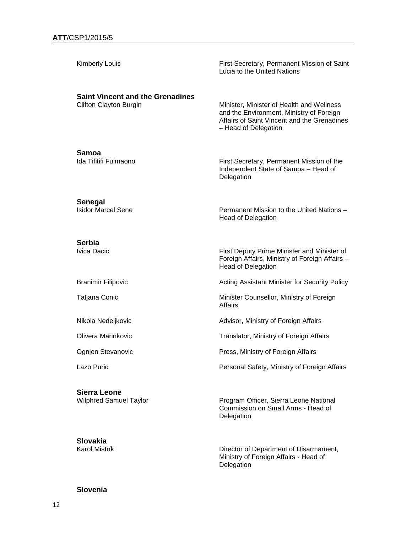| <b>Kimberly Louis</b>                                             | First Secretary, Permanent Mission of Saint<br>Lucia to the United Nations                                                                                   |
|-------------------------------------------------------------------|--------------------------------------------------------------------------------------------------------------------------------------------------------------|
| <b>Saint Vincent and the Grenadines</b><br>Clifton Clayton Burgin | Minister, Minister of Health and Wellness<br>and the Environment, Ministry of Foreign<br>Affairs of Saint Vincent and the Grenadines<br>- Head of Delegation |
| Samoa<br>Ida Tifitifi Fuimaono                                    | First Secretary, Permanent Mission of the<br>Independent State of Samoa - Head of<br>Delegation                                                              |
| Senegal<br><b>Isidor Marcel Sene</b>                              | Permanent Mission to the United Nations -<br><b>Head of Delegation</b>                                                                                       |
| <b>Serbia</b><br>Ivica Dacic                                      | First Deputy Prime Minister and Minister of<br>Foreign Affairs, Ministry of Foreign Affairs -<br><b>Head of Delegation</b>                                   |
| <b>Branimir Filipovic</b>                                         | Acting Assistant Minister for Security Policy                                                                                                                |
| Tatjana Conic                                                     | Minister Counsellor, Ministry of Foreign<br><b>Affairs</b>                                                                                                   |
| Nikola Nedeljkovic                                                | Advisor, Ministry of Foreign Affairs                                                                                                                         |
| Olivera Marinkovic                                                | Translator, Ministry of Foreign Affairs                                                                                                                      |
| Ognien Stevanovic                                                 | Press, Ministry of Foreign Affairs                                                                                                                           |
| Lazo Puric                                                        | Personal Safety, Ministry of Foreign Affairs                                                                                                                 |
| <b>Sierra Leone</b><br><b>Wilphred Samuel Taylor</b>              | Program Officer, Sierra Leone National<br>Commission on Small Arms - Head of                                                                                 |

**Slovakia**

#### Karol Mistrík Director of Department of Disarmament, Ministry of Foreign Affairs - Head of Delegation

Delegation

### **Slovenia**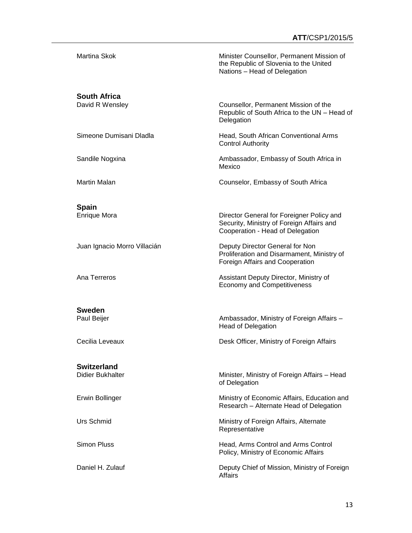| Martina Skok                                  | Minister Counsellor, Permanent Mission of<br>the Republic of Slovenia to the United<br>Nations - Head of Delegation        |
|-----------------------------------------------|----------------------------------------------------------------------------------------------------------------------------|
| <b>South Africa</b><br>David R Wensley        | Counsellor, Permanent Mission of the<br>Republic of South Africa to the UN - Head of<br>Delegation                         |
| Simeone Dumisani Dladla                       | Head, South African Conventional Arms<br><b>Control Authority</b>                                                          |
| Sandile Nogxina                               | Ambassador, Embassy of South Africa in<br>Mexico                                                                           |
| <b>Martin Malan</b>                           | Counselor, Embassy of South Africa                                                                                         |
|                                               |                                                                                                                            |
| <b>Spain</b><br><b>Enrique Mora</b>           | Director General for Foreigner Policy and<br>Security, Ministry of Foreign Affairs and<br>Cooperation - Head of Delegation |
| Juan Ignacio Morro Villacián                  | Deputy Director General for Non<br>Proliferation and Disarmament, Ministry of<br>Foreign Affairs and Cooperation           |
| Ana Terreros                                  | Assistant Deputy Director, Ministry of<br><b>Economy and Competitiveness</b>                                               |
|                                               |                                                                                                                            |
| <b>Sweden</b><br>Paul Beijer                  | Ambassador, Ministry of Foreign Affairs -<br><b>Head of Delegation</b>                                                     |
| Cecilia Leveaux                               | Desk Officer, Ministry of Foreign Affairs                                                                                  |
|                                               |                                                                                                                            |
| <b>Switzerland</b><br><b>Didier Bukhalter</b> | Minister, Ministry of Foreign Affairs - Head<br>of Delegation                                                              |
| Erwin Bollinger                               | Ministry of Economic Affairs, Education and<br>Research - Alternate Head of Delegation                                     |
| Urs Schmid                                    | Ministry of Foreign Affairs, Alternate<br>Representative                                                                   |
| <b>Simon Pluss</b>                            | Head, Arms Control and Arms Control<br>Policy, Ministry of Economic Affairs                                                |
| Daniel H. Zulauf                              | Deputy Chief of Mission, Ministry of Foreign<br><b>Affairs</b>                                                             |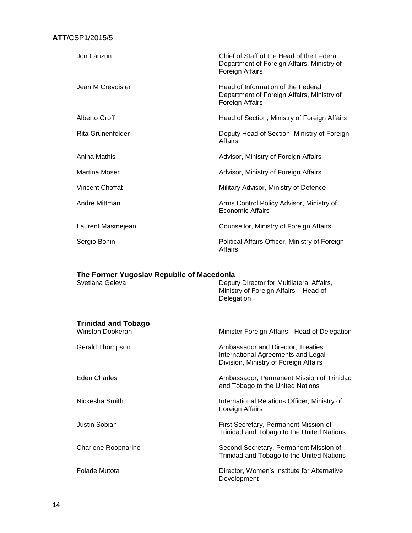| Jon Fanzun           | Chief of Staff of the Head of the Federal<br>Department of Foreign Affairs, Ministry of<br>Foreign Affairs |
|----------------------|------------------------------------------------------------------------------------------------------------|
| Jean M Crevoisier    | Head of Information of the Federal<br>Department of Foreign Affairs, Ministry of<br>Foreign Affairs        |
| Alberto Groff        | Head of Section, Ministry of Foreign Affairs                                                               |
| Rita Grunenfelder    | Deputy Head of Section, Ministry of Foreign<br>Affairs                                                     |
| Anina Mathis         | Advisor, Ministry of Foreign Affairs                                                                       |
| <b>Martina Moser</b> | Advisor, Ministry of Foreign Affairs                                                                       |
| Vincent Choffat      | Military Advisor, Ministry of Defence                                                                      |
| Andre Mittman        | Arms Control Policy Advisor, Ministry of<br>Economic Affairs                                               |
| Laurent Masmejean    | Counsellor, Ministry of Foreign Affairs                                                                    |
| Sergio Bonin         | Political Affairs Officer, Ministry of Foreign<br>Affairs                                                  |

#### **The Former Yugoslav Republic of Macedonia**

| Svetlana Geleva                                       | Deputy Director for Multilateral Affairs,<br>Ministry of Foreign Affairs - Head of<br>Delegation                 |
|-------------------------------------------------------|------------------------------------------------------------------------------------------------------------------|
| <b>Trinidad and Tobago</b><br><b>Winston Dookeran</b> | Minister Foreign Affairs - Head of Delegation                                                                    |
| <b>Gerald Thompson</b>                                | Ambassador and Director, Treaties<br>International Agreements and Legal<br>Division, Ministry of Foreign Affairs |
| <b>Eden Charles</b>                                   | Ambassador, Permanent Mission of Trinidad<br>and Tobago to the United Nations                                    |
| Nickesha Smith                                        | International Relations Officer, Ministry of<br>Foreign Affairs                                                  |
| Justin Sobian                                         | First Secretary, Permanent Mission of<br>Trinidad and Tobago to the United Nations                               |
| <b>Charlene Roopnarine</b>                            | Second Secretary, Permanent Mission of<br>Trinidad and Tobago to the United Nations                              |
| Folade Mutota                                         | Director, Women's Institute for Alternative<br>Development                                                       |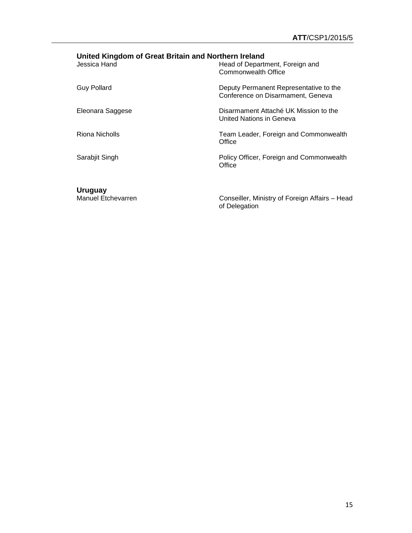## **United Kingdom of Great Britain and Northern Ireland**

| Jessica Hand       | Head of Department, Foreign and<br>Commonwealth Office                      |
|--------------------|-----------------------------------------------------------------------------|
| <b>Guy Pollard</b> | Deputy Permanent Representative to the<br>Conference on Disarmament, Geneva |
| Eleonara Saggese   | Disarmament Attaché UK Mission to the<br>United Nations in Geneva           |
| Riona Nicholls     | Team Leader, Foreign and Commonwealth<br>Office                             |
| Sarabjit Singh     | Policy Officer, Foreign and Commonwealth<br>Office                          |
|                    |                                                                             |

**Uruguay**

Manuel Etchevarren Conseiller, Ministry of Foreign Affairs – Head of Delegation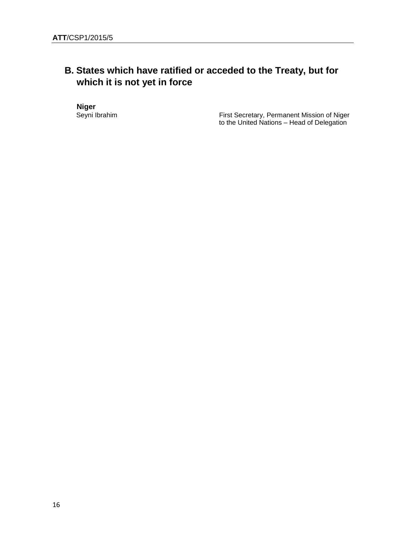## **B. States which have ratified or acceded to the Treaty, but for which it is not yet in force**

**Niger**<br>Seyni Ibrahim

First Secretary, Permanent Mission of Niger to the United Nations – Head of Delegation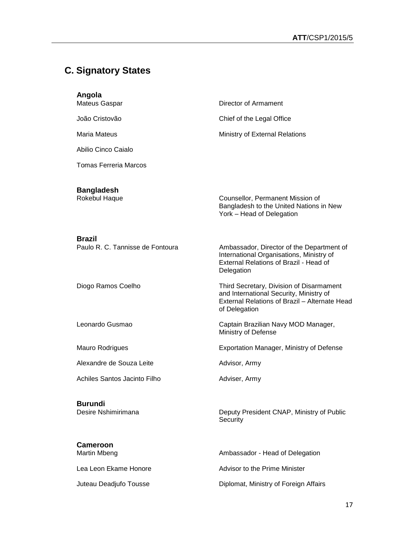# **C. Signatory States**

| Angola<br>Mateus Gaspar                    | Director of Armament                                                                                                                                  |
|--------------------------------------------|-------------------------------------------------------------------------------------------------------------------------------------------------------|
| João Cristovão                             | Chief of the Legal Office                                                                                                                             |
| Maria Mateus                               | Ministry of External Relations                                                                                                                        |
| Abilio Cinco Caialo                        |                                                                                                                                                       |
| Tomas Ferreria Marcos                      |                                                                                                                                                       |
| <b>Bangladesh</b><br>Rokebul Haque         | Counsellor, Permanent Mission of<br>Bangladesh to the United Nations in New<br>York - Head of Delegation                                              |
| Brazil<br>Paulo R. C. Tannisse de Fontoura | Ambassador, Director of the Department of<br>International Organisations, Ministry of<br>External Relations of Brazil - Head of<br>Delegation         |
| Diogo Ramos Coelho                         | Third Secretary, Division of Disarmament<br>and International Security, Ministry of<br>External Relations of Brazil - Alternate Head<br>of Delegation |
| Leonardo Gusmao                            | Captain Brazilian Navy MOD Manager,<br>Ministry of Defense                                                                                            |
| Mauro Rodrigues                            | <b>Exportation Manager, Ministry of Defense</b>                                                                                                       |
| Alexandre de Souza Leite                   | Advisor, Army                                                                                                                                         |
| Achiles Santos Jacinto Filho               | Adviser, Army                                                                                                                                         |
| <b>Burundi</b><br>Desire Nshimirimana      | Deputy President CNAP, Ministry of Public<br>Security                                                                                                 |
| Cameroon<br>Martin Mbeng                   | Ambassador - Head of Delegation                                                                                                                       |
| Lea Leon Ekame Honore                      | Advisor to the Prime Minister                                                                                                                         |
| Juteau Deadjufo Tousse                     | Diplomat, Ministry of Foreign Affairs                                                                                                                 |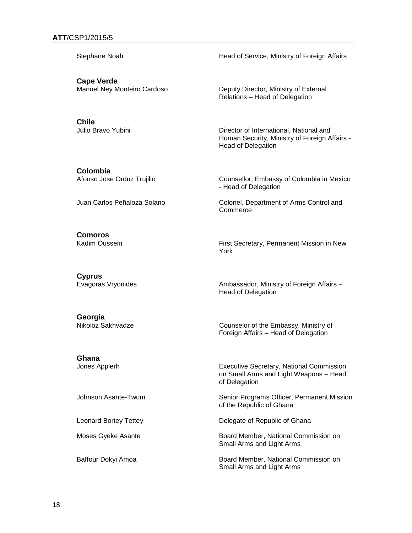Stephane Noah **Head of Service, Ministry of Foreign Affairs** 

**Cape Verde**

**Chile**

Manuel Ney Monteiro Cardoso Deputy Director, Ministry of External Relations – Head of Delegation

Julio Bravo Yubini Director of International, National and Human Security, Ministry of Foreign Affairs - Head of Delegation

**Colombia**<br>Afonso Jose Orduz Trujillo

Counsellor, Embassy of Colombia in Mexico - Head of Delegation

Juan Carlos Peñaloza Solano Colonel, Department of Arms Control and **Commerce** 

**Comoros**

Kadim Oussein **First Secretary, Permanent Mission in New** First Secretary, Permanent Mission in New York

**Cyprus**

Evagoras Vryonides Ambassador, Ministry of Foreign Affairs – Head of Delegation

**Georgia**

Nikoloz Sakhvadze Counselor of the Embassy, Ministry of Foreign Affairs – Head of Delegation

**Ghana**

Jones Applerh Executive Secretary, National Commission on Small Arms and Light Weapons – Head of Delegation

Johnson Asante-Twum Summan Senior Programs Officer, Permanent Mission of the Republic of Ghana

Leonard Bortey Tettey **Delegate of Republic of Ghana** 

Moses Gyeke Asante **Board Member, National Commission on** Small Arms and Light Arms

Baffour Dokyi Amoa **Board Member, National Commission on** Small Arms and Light Arms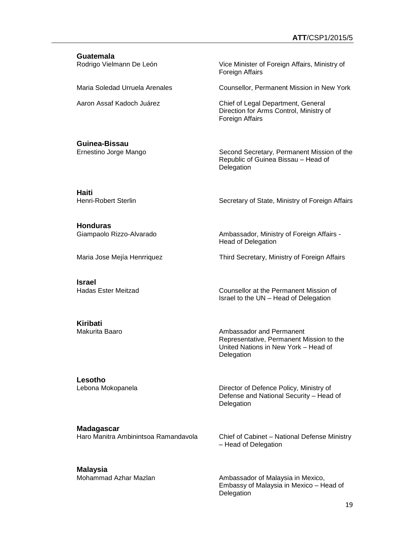| Guatemala<br>Rodrigo Vielmann De León | Vice Minister of Foreign Affairs, Ministry of<br>Foreign Affairs                                 |
|---------------------------------------|--------------------------------------------------------------------------------------------------|
| Maria Soledad Urruela Arenales        | Counsellor, Permanent Mission in New York                                                        |
| Aaron Assaf Kadoch Juárez             | Chief of Legal Department, General<br>Direction for Arms Control, Ministry of<br>Foreign Affairs |
| Guinea-Bissau                         |                                                                                                  |

Ernestino Jorge Mango Second Secretary, Permanent Mission of the Republic of Guinea Bissau – Head of **Delegation** 

**Haiti**

Secretary of State, Ministry of Foreign Affairs

**Honduras**

Ambassador, Ministry of Foreign Affairs -Head of Delegation

Maria Jose Mejía Henrriquez Third Secretary, Ministry of Foreign Affairs

**Israel**

Counsellor at the Permanent Mission of Israel to the UN – Head of Delegation

**Kiribati**

Ambassador and Permanent Representative, Permanent Mission to the United Nations in New York – Head of Delegation

**Lesotho**

Lebona Mokopanela **Director of Defence Policy, Ministry of** Director of Defence Policy, Ministry of Defense and National Security – Head of Delegation

**Madagascar**

Haro Manitra Ambinintsoa Ramandavola Chief of Cabinet – National Defense Ministry – Head of Delegation

**Malaysia**

Mohammad Azhar Mazlan Ambassador of Malaysia in Mexico, Embassy of Malaysia in Mexico – Head of **Delegation**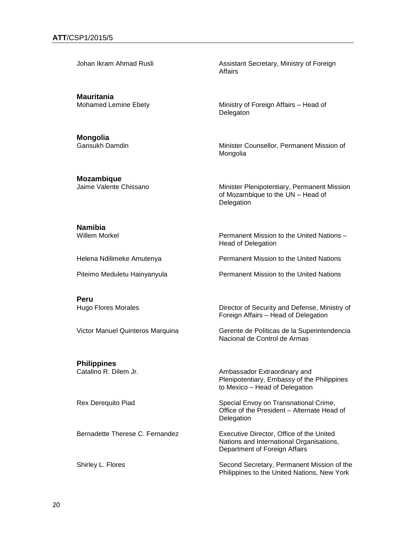**Mauritania**

**Mongolia**

Johan Ikram Ahmad Rusli Assistant Secretary, Ministry of Foreign Affairs

Mohamed Lemine Ebety **Ministry of Foreign Affairs** – Head of Delegaton

> Minister Counsellor, Permanent Mission of Mongolia

**Mozambique**

Jaime Valente Chissano Minister Plenipotentiary, Permanent Mission of Mozambique to the UN – Head of Delegation

**Namibia**

Permanent Mission to the United Nations – Head of Delegation

**Peru**

**Philippines**

Helena Ndilimeke Amutenya Permanent Mission to the United Nations

Piteimo Meduletu Hainyanyula **Permanent Mission to the United Nations** 

Hugo Flores Morales **Director of Security and Defense, Ministry of** Foreign Affairs – Head of Delegation

Victor Manuel Quinteros Marquina Gerente de Políticas de la Superintendencia Nacional de Control de Armas

Catalino R. Dilem Jr. **Ambassador Extraordinary and** Plenipotentiary, Embassy of the Philippines to Mexico – Head of Delegation

Rex Derequito Piad **Special Envoy on Transnational Crime**, Office of the President – Alternate Head of **Delegation** 

Bernadette Therese C. Fernandez **Executive Director, Office of the United** Nations and International Organisations, Department of Foreign Affairs

Shirley L. Flores Second Secretary, Permanent Mission of the Philippines to the United Nations, New York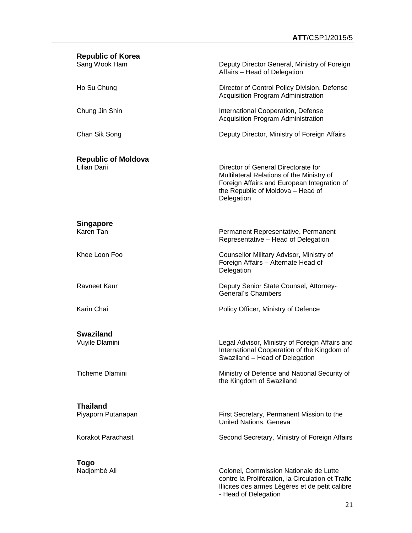| <b>Republic of Korea</b>                   |                                                                                                                                                                                    |
|--------------------------------------------|------------------------------------------------------------------------------------------------------------------------------------------------------------------------------------|
| Sang Wook Ham                              | Deputy Director General, Ministry of Foreign<br>Affairs - Head of Delegation                                                                                                       |
| Ho Su Chung                                | Director of Control Policy Division, Defense<br><b>Acquisition Program Administration</b>                                                                                          |
| Chung Jin Shin                             | International Cooperation, Defense<br><b>Acquisition Program Administration</b>                                                                                                    |
| Chan Sik Song                              | Deputy Director, Ministry of Foreign Affairs                                                                                                                                       |
| <b>Republic of Moldova</b><br>Lilian Darii | Director of General Directorate for<br>Multilateral Relations of the Ministry of<br>Foreign Affairs and European Integration of<br>the Republic of Moldova - Head of<br>Delegation |
| <b>Singapore</b><br>Karen Tan              | Permanent Representative, Permanent<br>Representative - Head of Delegation                                                                                                         |
| Khee Loon Foo                              | Counsellor Military Advisor, Ministry of<br>Foreign Affairs - Alternate Head of<br>Delegation                                                                                      |
| Ravneet Kaur                               | Deputy Senior State Counsel, Attorney-<br>General's Chambers                                                                                                                       |
| Karin Chai                                 | Policy Officer, Ministry of Defence                                                                                                                                                |
| <b>Swaziland</b>                           |                                                                                                                                                                                    |
| Vuyile Dlamini                             | Legal Advisor, Ministry of Foreign Affairs and<br>International Cooperation of the Kingdom of<br>Swaziland - Head of Delegation                                                    |
| <b>Ticheme Dlamini</b>                     | Ministry of Defence and National Security of<br>the Kingdom of Swaziland                                                                                                           |
| <b>Thailand</b>                            |                                                                                                                                                                                    |
| Piyaporn Putanapan                         | First Secretary, Permanent Mission to the<br>United Nations, Geneva                                                                                                                |
| Korakot Parachasit                         | Second Secretary, Ministry of Foreign Affairs                                                                                                                                      |
| <b>Togo</b>                                |                                                                                                                                                                                    |
| Nadjombé Ali                               | Colonel, Commission Nationale de Lutte<br>contre la Prolifération, la Circulation et Trafic                                                                                        |

Illicites des armes Légères et de petit calibre

- Head of Delegation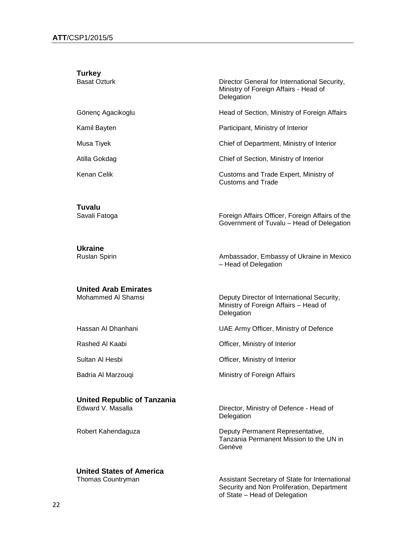| <b>Turkey</b>                                           |                                                                                                     |
|---------------------------------------------------------|-----------------------------------------------------------------------------------------------------|
| <b>Basat Ozturk</b>                                     | Director General for International Security,<br>Ministry of Foreign Affairs - Head of<br>Delegation |
| Gönenç Agacikoglu                                       | Head of Section, Ministry of Foreign Affairs                                                        |
| Kamil Bayten                                            | Participant, Ministry of Interior                                                                   |
| Musa Tiyek                                              | Chief of Department, Ministry of Interior                                                           |
| Atilla Gokdag                                           | Chief of Section, Ministry of Interior                                                              |
| Kenan Celik                                             | Customs and Trade Expert, Ministry of<br>Customs and Trade                                          |
| Tuvalu<br>Savali Fatoga                                 | Foreign Affairs Officer, Foreign Affairs of the<br>Government of Tuvalu - Head of Delegation        |
| <b>Ukraine</b><br><b>Ruslan Spirin</b>                  | Ambassador, Embassy of Ukraine in Mexico<br>- Head of Delegation                                    |
| <b>United Arab Emirates</b><br>Mohammed Al Shamsi       | Deputy Director of International Security,<br>Ministry of Foreign Affairs - Head of<br>Delegation   |
| Hassan Al Dhanhani                                      | UAE Army Officer, Ministry of Defence                                                               |
| Rashed Al Kaabi                                         | Officer, Ministry of Interior                                                                       |
| Sultan Al Hesbi                                         | Officer, Ministry of Interior                                                                       |
| Badria Al Marzouqi                                      | Ministry of Foreign Affairs                                                                         |
| <b>United Republic of Tanzania</b><br>Edward V. Masalla | Director, Ministry of Defence - Head of<br>Delegation                                               |
| Robert Kahendaguza                                      | Deputy Permanent Representative,<br>Tanzania Permanent Mission to the UN in<br>Genève               |
|                                                         |                                                                                                     |

Thomas Countryman Assistant Secretary of State for International Security and Non Proliferation, Department of State – Head of Delegation

**United States of America**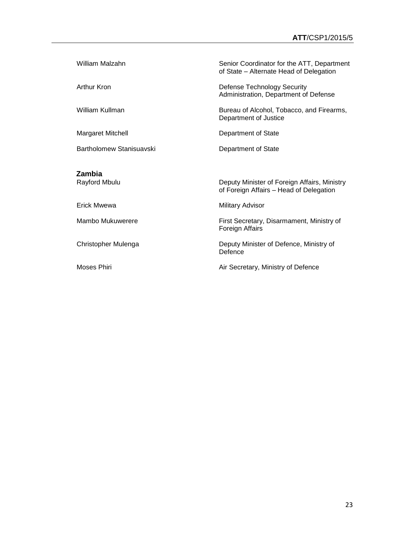| William Malzahn                | Senior Coordinator for the ATT, Department<br>of State - Alternate Head of Delegation   |
|--------------------------------|-----------------------------------------------------------------------------------------|
| Arthur Kron                    | <b>Defense Technology Security</b><br>Administration, Department of Defense             |
| William Kullman                | Bureau of Alcohol, Tobacco, and Firearms,<br>Department of Justice                      |
| <b>Margaret Mitchell</b>       | Department of State                                                                     |
| Bartholomew Stanisuavski       | Department of State                                                                     |
| <b>Zambia</b><br>Rayford Mbulu | Deputy Minister of Foreign Affairs, Ministry<br>of Foreign Affairs - Head of Delegation |
| Erick Mwewa                    | <b>Military Advisor</b>                                                                 |
| Mambo Mukuwerere               | First Secretary, Disarmament, Ministry of<br>Foreign Affairs                            |
| Christopher Mulenga            | Deputy Minister of Defence, Ministry of<br>Defence                                      |
| Moses Phiri                    | Air Secretary, Ministry of Defence                                                      |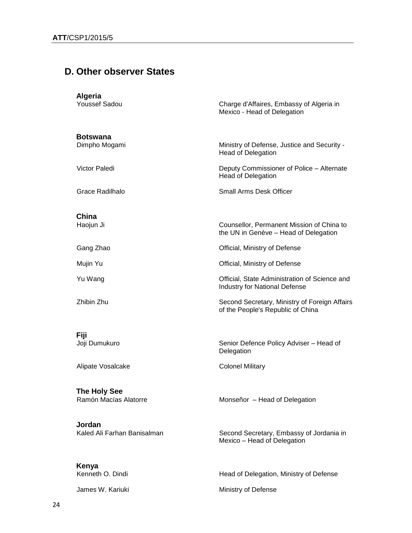## **D. Other observer States**

| <b>Algeria</b><br><b>Youssef Sadou</b>     | Charge d'Affaires, Embassy of Algeria in<br>Mexico - Head of Delegation               |
|--------------------------------------------|---------------------------------------------------------------------------------------|
| <b>Botswana</b><br>Dimpho Mogami           | Ministry of Defense, Justice and Security -<br><b>Head of Delegation</b>              |
| <b>Victor Paledi</b>                       | Deputy Commissioner of Police - Alternate<br><b>Head of Delegation</b>                |
| Grace Radilhalo                            | <b>Small Arms Desk Officer</b>                                                        |
| China<br>Haojun Ji                         | Counsellor, Permanent Mission of China to<br>the UN in Genève - Head of Delegation    |
| Gang Zhao                                  | Official, Ministry of Defense                                                         |
| Mujin Yu                                   | Official, Ministry of Defense                                                         |
| Yu Wang                                    | Official, State Administration of Science and<br><b>Industry for National Defense</b> |
| Zhibin Zhu                                 | Second Secretary, Ministry of Foreign Affairs<br>of the People's Republic of China    |
| Fiji<br>Joji Dumukuro<br>Alipate Vosalcake | Senior Defence Policy Adviser - Head of<br>Delegation<br><b>Colonel Military</b>      |
| The Holy See<br>Ramón Macías Alatorre      | Monseñor - Head of Delegation                                                         |
| Jordan<br>Kaled Ali Farhan Banisalman      | Second Secretary, Embassy of Jordania in<br>Mexico - Head of Delegation               |
| Kenya<br>Kenneth O. Dindi                  | Head of Delegation, Ministry of Defense                                               |
| James W. Kariuki                           | Ministry of Defense                                                                   |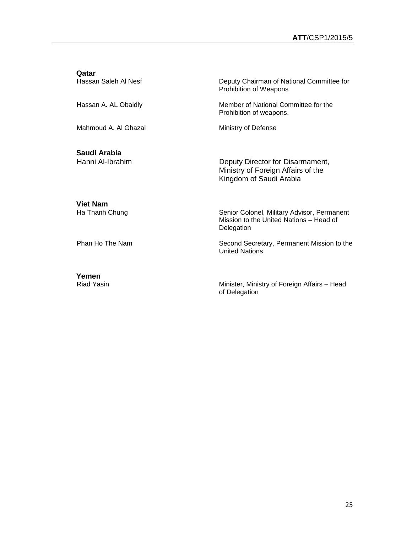**Qatar**<br>Hassan Saleh Al Nesf Deputy Chairman of National Committee for Prohibition of Weapons Hassan A. AL Obaidly **Member of National Committee for the** Prohibition of weapons, Mahmoud A. Al Ghazal Ministry of Defense **Saudi Arabia** Deputy Director for Disarmament, Ministry of Foreign Affairs of the Kingdom of Saudi Arabia

**Viet Nam**

Senior Colonel, Military Advisor, Permanent Mission to the United Nations – Head of Delegation

Phan Ho The Nam Second Secretary, Permanent Mission to the United Nations

Riad Yasin **Minister, Minister, Ministry of Foreign Affairs** – Head of Delegation

**Yemen**

25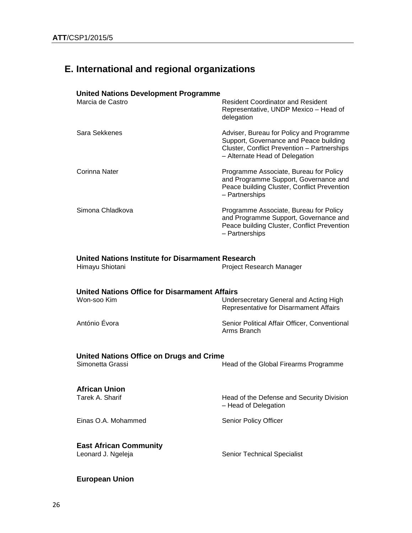## **E. International and regional organizations**

#### **United Nations Development Programme**

| Marcia de Castro | <b>Resident Coordinator and Resident</b><br>Representative, UNDP Mexico - Head of<br>delegation                                                                     |
|------------------|---------------------------------------------------------------------------------------------------------------------------------------------------------------------|
| Sara Sekkenes    | Adviser, Bureau for Policy and Programme<br>Support, Governance and Peace building<br>Cluster, Conflict Prevention - Partnerships<br>- Alternate Head of Delegation |
| Corinna Nater    | Programme Associate, Bureau for Policy<br>and Programme Support, Governance and<br>Peace building Cluster, Conflict Prevention<br>- Partnerships                    |
| Simona Chladkova | Programme Associate, Bureau for Policy<br>and Programme Support, Governance and<br>Peace building Cluster, Conflict Prevention<br>- Partnerships                    |

#### **United Nations Institute for Disarmament Research**

| Himayu Shiotani | Project Research Manager |
|-----------------|--------------------------|
|-----------------|--------------------------|

# **United Nations Office for Disarmament Affairs**

Undersecretary General and Acting High Representative for Disarmament Affairs

António Évora **Senior Political Affair Officer, Conventional** Arms Branch

# **United Nations Office on Drugs and Crime**<br>
F

Head of the Global Firearms Programme

# **African Union**<br>Tarek A. Sharif

Head of the Defense and Security Division – Head of Delegation

Einas O.A. Mohammed Senior Policy Officer

**East African Community**

Senior Technical Specialist

### **European Union**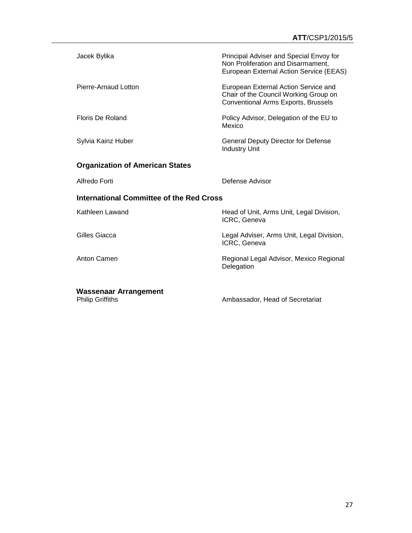| Jacek Bylika                                    | Principal Adviser and Special Envoy for<br>Non Proliferation and Disarmament,<br>European External Action Service (EEAS)    |  |
|-------------------------------------------------|-----------------------------------------------------------------------------------------------------------------------------|--|
| Pierre-Arnaud Lotton                            | European External Action Service and<br>Chair of the Council Working Group on<br><b>Conventional Arms Exports, Brussels</b> |  |
| Floris De Roland                                | Policy Advisor, Delegation of the EU to<br>Mexico                                                                           |  |
| Sylvia Kainz Huber                              | <b>General Deputy Director for Defense</b><br><b>Industry Unit</b>                                                          |  |
| <b>Organization of American States</b>          |                                                                                                                             |  |
| Alfredo Forti                                   | Defense Advisor                                                                                                             |  |
| <b>International Committee of the Red Cross</b> |                                                                                                                             |  |
| Kathleen Lawand                                 | Head of Unit, Arms Unit, Legal Division,<br>ICRC, Geneva                                                                    |  |
| Gilles Giacca                                   | Legal Adviser, Arms Unit, Legal Division,<br>ICRC, Geneva                                                                   |  |
| Anton Camen                                     | Regional Legal Advisor, Mexico Regional<br>Delegation                                                                       |  |
| <b>Wassenaar Arrangement</b>                    |                                                                                                                             |  |

Philip Griffiths **CONTER Ambassador**, Head of Secretariat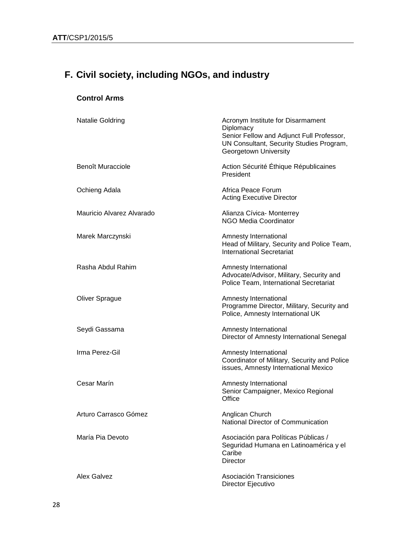# **F. Civil society, including NGOs, and industry**

## **Control Arms**

| <b>Natalie Goldring</b>   | Acronym Institute for Disarmament<br>Diplomacy<br>Senior Fellow and Adjunct Full Professor,<br>UN Consultant, Security Studies Program,<br>Georgetown University |
|---------------------------|------------------------------------------------------------------------------------------------------------------------------------------------------------------|
| <b>Benoît Muracciole</b>  | Action Sécurité Éthique Républicaines<br>President                                                                                                               |
| Ochieng Adala             | Africa Peace Forum<br><b>Acting Executive Director</b>                                                                                                           |
| Mauricio Alvarez Alvarado | Alianza Cívica- Monterrey<br><b>NGO Media Coordinator</b>                                                                                                        |
| Marek Marczynski          | Amnesty International<br>Head of Military, Security and Police Team,<br><b>International Secretariat</b>                                                         |
| Rasha Abdul Rahim         | Amnesty International<br>Advocate/Advisor, Military, Security and<br>Police Team, International Secretariat                                                      |
| <b>Oliver Sprague</b>     | Amnesty International<br>Programme Director, Military, Security and<br>Police, Amnesty International UK                                                          |
| Seydi Gassama             | Amnesty International<br>Director of Amnesty International Senegal                                                                                               |
| Irma Perez-Gil            | Amnesty International<br>Coordinator of Military, Security and Police<br>issues, Amnesty International Mexico                                                    |
| Cesar Marín               | Amnesty International<br>Senior Campaigner, Mexico Regional<br>Office                                                                                            |
| Arturo Carrasco Gómez     | Anglican Church<br>National Director of Communication                                                                                                            |
| María Pia Devoto          | Asociación para Políticas Públicas /<br>Seguridad Humana en Latinoamérica y el<br>Caribe<br><b>Director</b>                                                      |
| Alex Galvez               | Asociación Transiciones<br>Director Ejecutivo                                                                                                                    |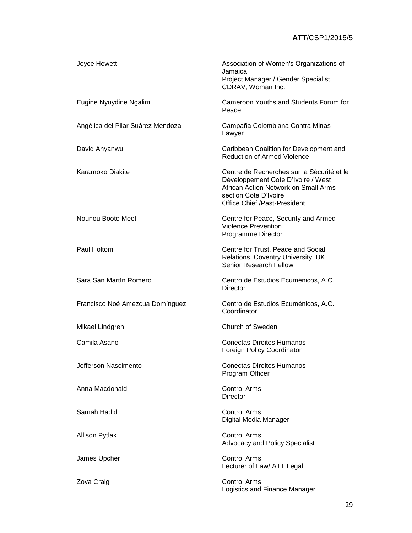| Joyce Hewett                      | Association of Women's Organizations of<br>Jamaica<br>Project Manager / Gender Specialist,<br>CDRAV, Woman Inc.                                                                          |
|-----------------------------------|------------------------------------------------------------------------------------------------------------------------------------------------------------------------------------------|
| Eugine Nyuydine Ngalim            | Cameroon Youths and Students Forum for<br>Peace                                                                                                                                          |
| Angélica del Pilar Suárez Mendoza | Campaña Colombiana Contra Minas<br>Lawyer                                                                                                                                                |
| David Anyanwu                     | Caribbean Coalition for Development and<br><b>Reduction of Armed Violence</b>                                                                                                            |
| Karamoko Diakite                  | Centre de Recherches sur la Sécurité et le<br>Développement Cote D'Ivoire / West<br>African Action Network on Small Arms<br>section Cote D'Ivoire<br><b>Office Chief /Past-President</b> |
| Nounou Booto Meeti                | Centre for Peace, Security and Armed<br><b>Violence Prevention</b><br>Programme Director                                                                                                 |
| Paul Holtom                       | Centre for Trust, Peace and Social<br>Relations, Coventry University, UK<br><b>Senior Research Fellow</b>                                                                                |
| Sara San Martín Romero            | Centro de Estudios Ecuménicos, A.C.<br><b>Director</b>                                                                                                                                   |
| Francisco Noé Amezcua Domínguez   | Centro de Estudios Ecuménicos, A.C.<br>Coordinator                                                                                                                                       |
| Mikael Lindgren                   | Church of Sweden                                                                                                                                                                         |
| Camila Asano                      | <b>Conectas Direitos Humanos</b><br><b>Foreign Policy Coordinator</b>                                                                                                                    |
| Jefferson Nascimento              | <b>Conectas Direitos Humanos</b><br>Program Officer                                                                                                                                      |
| Anna Macdonald                    | <b>Control Arms</b><br>Director                                                                                                                                                          |
| Samah Hadid                       | <b>Control Arms</b><br>Digital Media Manager                                                                                                                                             |
| <b>Allison Pytlak</b>             | <b>Control Arms</b><br><b>Advocacy and Policy Specialist</b>                                                                                                                             |
| James Upcher                      | <b>Control Arms</b><br>Lecturer of Law/ ATT Legal                                                                                                                                        |
| Zoya Craig                        | <b>Control Arms</b><br>Logistics and Finance Manager                                                                                                                                     |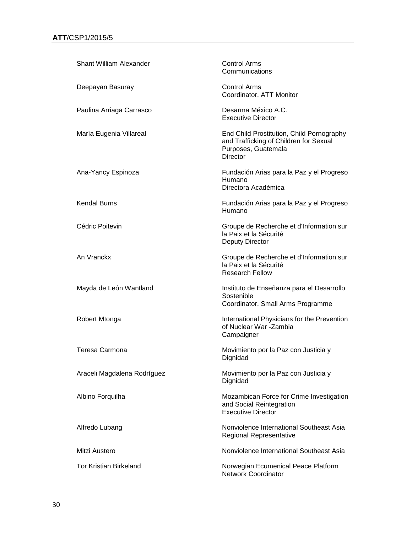| <b>Shant William Alexander</b> | <b>Control Arms</b><br>Communications                                                                                         |
|--------------------------------|-------------------------------------------------------------------------------------------------------------------------------|
| Deepayan Basuray               | <b>Control Arms</b><br>Coordinator, ATT Monitor                                                                               |
| Paulina Arriaga Carrasco       | Desarma México A.C.<br><b>Executive Director</b>                                                                              |
| María Eugenia Villareal        | End Child Prostitution, Child Pornography<br>and Trafficking of Children for Sexual<br>Purposes, Guatemala<br><b>Director</b> |
| Ana-Yancy Espinoza             | Fundación Arias para la Paz y el Progreso<br>Humano<br>Directora Académica                                                    |
| <b>Kendal Burns</b>            | Fundación Arias para la Paz y el Progreso<br>Humano                                                                           |
| Cédric Poitevin                | Groupe de Recherche et d'Information sur<br>la Paix et la Sécurité<br><b>Deputy Director</b>                                  |
| An Vranckx                     | Groupe de Recherche et d'Information sur<br>la Paix et la Sécurité<br><b>Research Fellow</b>                                  |
| Mayda de León Wantland         | Instituto de Enseñanza para el Desarrollo<br>Sostenible<br>Coordinator, Small Arms Programme                                  |
| Robert Mtonga                  | International Physicians for the Prevention<br>of Nuclear War - Zambia<br>Campaigner                                          |
| Teresa Carmona                 | Movimiento por la Paz con Justicia y<br>Dignidad                                                                              |
| Araceli Magdalena Rodríguez    | Movimiento por la Paz con Justicia y<br>Dignidad                                                                              |
| Albino Forquilha               | Mozambican Force for Crime Investigation<br>and Social Reintegration<br><b>Executive Director</b>                             |
| Alfredo Lubang                 | Nonviolence International Southeast Asia<br>Regional Representative                                                           |
| Mitzi Austero                  | Nonviolence International Southeast Asia                                                                                      |
| <b>Tor Kristian Birkeland</b>  | Norwegian Ecumenical Peace Platform<br><b>Network Coordinator</b>                                                             |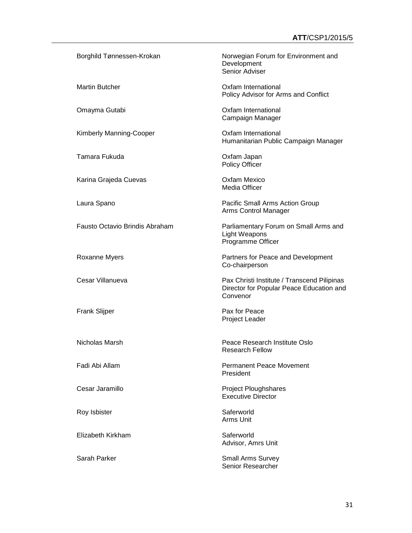| Borghild Tønnessen-Krokan      | Norwegian Forum for Environment and<br>Development<br>Senior Adviser                                |
|--------------------------------|-----------------------------------------------------------------------------------------------------|
| <b>Martin Butcher</b>          | Oxfam International<br>Policy Advisor for Arms and Conflict                                         |
| Omayma Gutabi                  | Oxfam International<br>Campaign Manager                                                             |
| Kimberly Manning-Cooper        | Oxfam International<br>Humanitarian Public Campaign Manager                                         |
| Tamara Fukuda                  | Oxfam Japan<br>Policy Officer                                                                       |
| Karina Grajeda Cuevas          | <b>Oxfam Mexico</b><br>Media Officer                                                                |
| Laura Spano                    | Pacific Small Arms Action Group<br>Arms Control Manager                                             |
| Fausto Octavio Brindis Abraham | Parliamentary Forum on Small Arms and<br>Light Weapons<br>Programme Officer                         |
| Roxanne Myers                  | Partners for Peace and Development<br>Co-chairperson                                                |
| Cesar Villanueva               | Pax Christi Institute / Transcend Pilipinas<br>Director for Popular Peace Education and<br>Convenor |
| <b>Frank Slijper</b>           | Pax for Peace<br>Project Leader                                                                     |
| Nicholas Marsh                 | Peace Research Institute Oslo<br>Research Fellow                                                    |
| Fadi Abi Allam                 | <b>Permanent Peace Movement</b><br>President                                                        |
| Cesar Jaramillo                | <b>Project Ploughshares</b><br><b>Executive Director</b>                                            |
| Roy Isbister                   | Saferworld<br>Arms Unit                                                                             |
| Elizabeth Kirkham              | Saferworld<br>Advisor, Amrs Unit                                                                    |
| Sarah Parker                   | <b>Small Arms Survey</b>                                                                            |

Senior Researcher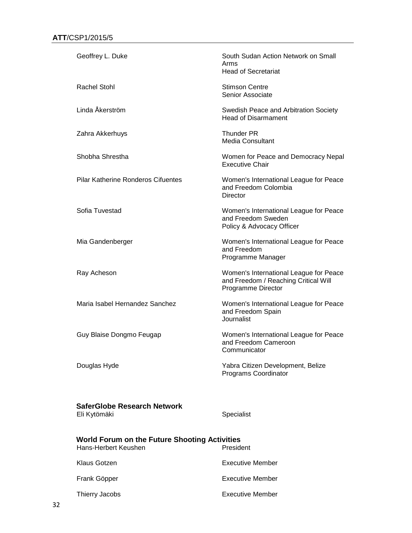| Geoffrey L. Duke                                                                          | South Sudan Action Network on Small<br>Arms<br><b>Head of Secretariat</b>                            |
|-------------------------------------------------------------------------------------------|------------------------------------------------------------------------------------------------------|
| <b>Rachel Stohl</b>                                                                       | <b>Stimson Centre</b><br>Senior Associate                                                            |
| Linda Åkerström                                                                           | Swedish Peace and Arbitration Society<br><b>Head of Disarmament</b>                                  |
| Zahra Akkerhuys                                                                           | <b>Thunder PR</b><br><b>Media Consultant</b>                                                         |
| Shobha Shrestha                                                                           | Women for Peace and Democracy Nepal<br><b>Executive Chair</b>                                        |
| <b>Pilar Katherine Ronderos Cifuentes</b>                                                 | Women's International League for Peace<br>and Freedom Colombia<br><b>Director</b>                    |
| Sofia Tuvestad                                                                            | Women's International League for Peace<br>and Freedom Sweden<br>Policy & Advocacy Officer            |
| Mia Gandenberger                                                                          | Women's International League for Peace<br>and Freedom<br>Programme Manager                           |
| Ray Acheson                                                                               | Women's International League for Peace<br>and Freedom / Reaching Critical Will<br>Programme Director |
| Maria Isabel Hernandez Sanchez                                                            | Women's International League for Peace<br>and Freedom Spain<br>Journalist                            |
| Guy Blaise Dongmo Feugap                                                                  | Women's International League for Peace<br>and Freedom Cameroon<br>Communicator                       |
| Douglas Hyde                                                                              | Yabra Citizen Development, Belize<br>Programs Coordinator                                            |
| <b>SaferGlobe Research Network</b><br>Eli Kytömäki                                        | Specialist                                                                                           |
| <b>World Forum on the Future Shooting Activities</b><br>Hans-Herbert Keushen<br>President |                                                                                                      |
| Klaus Gotzen                                                                              | <b>Executive Member</b>                                                                              |
| Frank Göpper                                                                              | <b>Executive Member</b>                                                                              |

Thierry Jacobs **Executive Member**